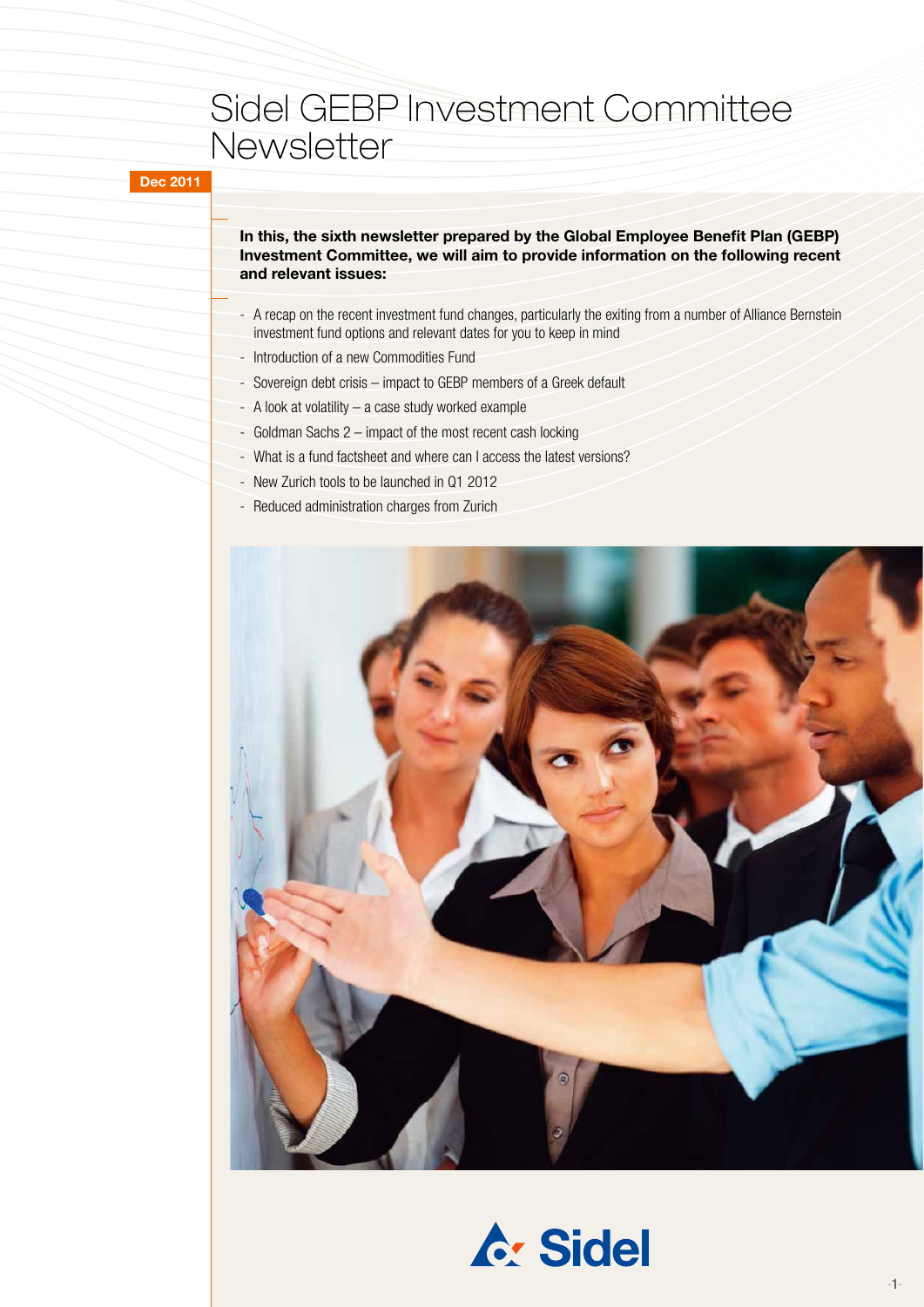### Sidel GEBP Investment Committee **Newsletter**

### **Dec 2011**

### **In this, the sixth newsletter prepared by the Global Employee Benefit Plan (GEBP) Investment Committee, we will aim to provide information on the following recent and relevant issues:**

- A recap on the recent investment fund changes, particularly the exiting from a number of Alliance Bernstein investment fund options and relevant dates for you to keep in mind
- Introduction of a new Commodities Fund
- Sovereign debt crisis impact to GEBP members of a Greek default
- A look at volatility a case study worked example
- Goldman Sachs 2 impact of the most recent cash locking
- What is a fund factsheet and where can I access the latest versions?
- New Zurich tools to be launched in Q1 2012
- Reduced administration charges from Zurich



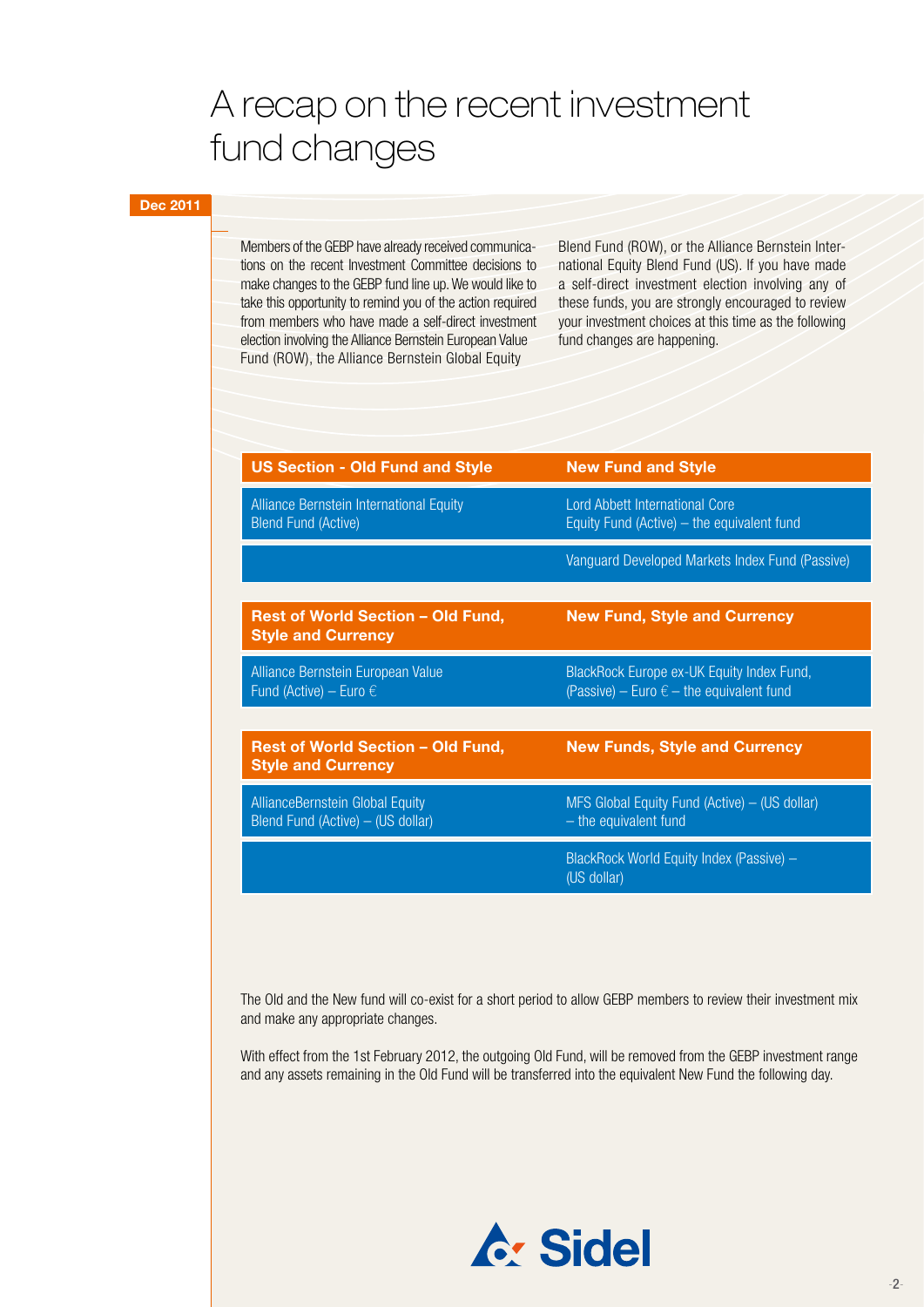# A recap on the recent investment fund changes

### **Dec 2011**

Members of the GEBP have already received communications on the recent Investment Committee decisions to make changes to the GEBP fund line up. We would like to take this opportunity to remind you of the action required from members who have made a self-direct investment election involving the Alliance Bernstein European Value Fund (ROW), the Alliance Bernstein Global Equity

Blend Fund (ROW), or the Alliance Bernstein International Equity Blend Fund (US). If you have made a self-direct investment election involving any of these funds, you are strongly encouraged to review your investment choices at this time as the following fund changes are happening.

| <b>US Section - Old Fund and Style</b>                                       | <b>New Fund and Style</b>                                                                      |
|------------------------------------------------------------------------------|------------------------------------------------------------------------------------------------|
| Alliance Bernstein International Equity<br><b>Blend Fund (Active)</b>        | <b>Lord Abbett International Core</b><br>Equity Fund (Active) $-$ the equivalent fund          |
|                                                                              | Vanguard Developed Markets Index Fund (Passive)                                                |
|                                                                              |                                                                                                |
| <b>Rest of World Section - Old Fund,</b><br><b>Style and Currency</b>        | <b>New Fund, Style and Currency</b>                                                            |
| Alliance Bernstein European Value<br>Fund (Active) – Euro $\epsilon$         | BlackRock Europe ex-UK Equity Index Fund,<br>(Passive) – Euro $\epsilon$ – the equivalent fund |
|                                                                              |                                                                                                |
| <b>Rest of World Section - Old Fund,</b><br><b>Style and Currency</b>        | <b>New Funds, Style and Currency</b>                                                           |
| <b>Alliance Bernstein Global Equity</b><br>Blend Fund (Active) - (US dollar) | MFS Global Equity Fund (Active) - (US dollar)<br>- the equivalent fund                         |
|                                                                              | BlackRock World Equity Index (Passive) -<br>(US dollar)                                        |

The Old and the New fund will co-exist for a short period to allow GEBP members to review their investment mix and make any appropriate changes.

With effect from the 1st February 2012, the outgoing Old Fund, will be removed from the GEBP investment range and any assets remaining in the Old Fund will be transferred into the equivalent New Fund the following day.

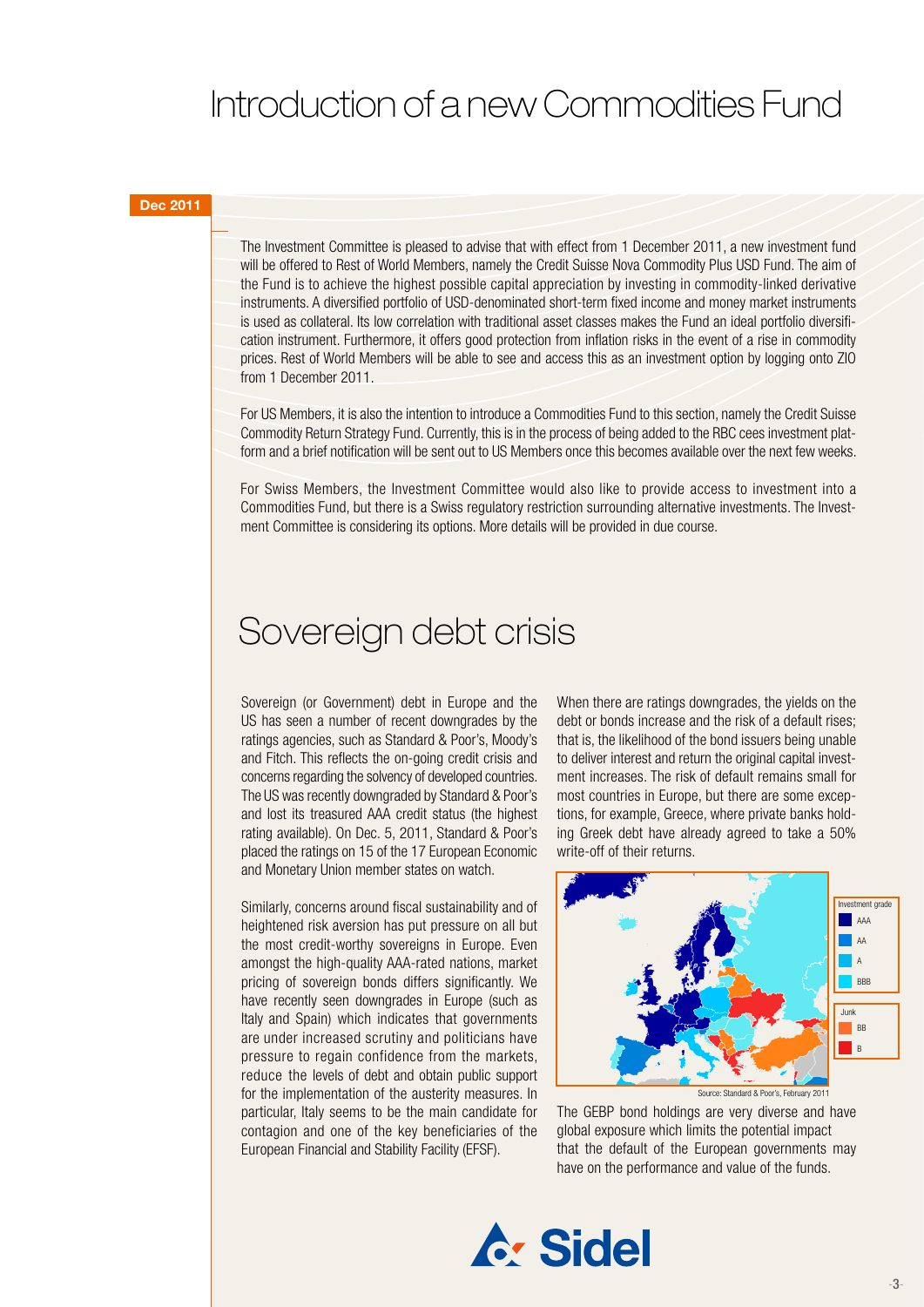# Introduction of a new Commodities Fund

#### **Dec 2011**

The Investment Committee is pleased to advise that with effect from 1 December 2011, a new investment fund will be offered to Rest of World Members, namely the Credit Suisse Nova Commodity Plus USD Fund. The aim of the Fund is to achieve the highest possible capital appreciation by investing in commodity-linked derivative instruments. A diversified portfolio of USD-denominated short-term fixed income and money market instruments is used as collateral. Its low correlation with traditional asset classes makes the Fund an ideal portfolio diversification instrument. Furthermore, it offers good protection from inflation risks in the event of a rise in commodity prices. Rest of World Members will be able to see and access this as an investment option by logging onto ZIO from 1 December 2011.

For US Members, it is also the intention to introduce a Commodities Fund to this section, namely the Credit Suisse Commodity Return Strategy Fund. Currently, this is in the process of being added to the RBC cees investment platform and a brief notification will be sent out to US Members once this becomes available over the next few weeks.

For Swiss Members, the Investment Committee would also like to provide access to investment into a Commodities Fund, but there is a Swiss regulatory restriction surrounding alternative investments. The Investment Committee is considering its options. More details will be provided in due course.

### Sovereign debt crisis

Sovereign (or Government) debt in Europe and the US has seen a number of recent downgrades by the ratings agencies, such as Standard & Poor's, Moody's and Fitch. This reflects the on-going credit crisis and concerns regarding the solvency of developed countries. The US was recently downgraded by Standard & Poor's and lost its treasured AAA credit status (the highest rating available). On Dec. 5, 2011, Standard & Poor's placed the ratings on 15 of the 17 European Economic and Monetary Union member states on watch.

Similarly, concerns around fiscal sustainability and of heightened risk aversion has put pressure on all but the most credit-worthy sovereigns in Europe. Even amongst the high-quality AAA-rated nations, market pricing of sovereign bonds differs significantly. We have recently seen downgrades in Europe (such as Italy and Spain) which indicates that governments are under increased scrutiny and politicians have pressure to regain confidence from the markets, reduce the levels of debt and obtain public support for the implementation of the austerity measures. In particular, Italy seems to be the main candidate for contagion and one of the key beneficiaries of the European Financial and Stability Facility (EFSF).

When there are ratings downgrades, the yields on the debt or bonds increase and the risk of a default rises; that is, the likelihood of the bond issuers being unable to deliver interest and return the original capital investment increases. The risk of default remains small for most countries in Europe, but there are some exceptions, for example, Greece, where private banks holding Greek debt have already agreed to take a 50% write-off of their returns.



The GEBP bond holdings are very diverse and have global exposure which limits the potential impact that the default of the European governments may have on the performance and value of the funds.

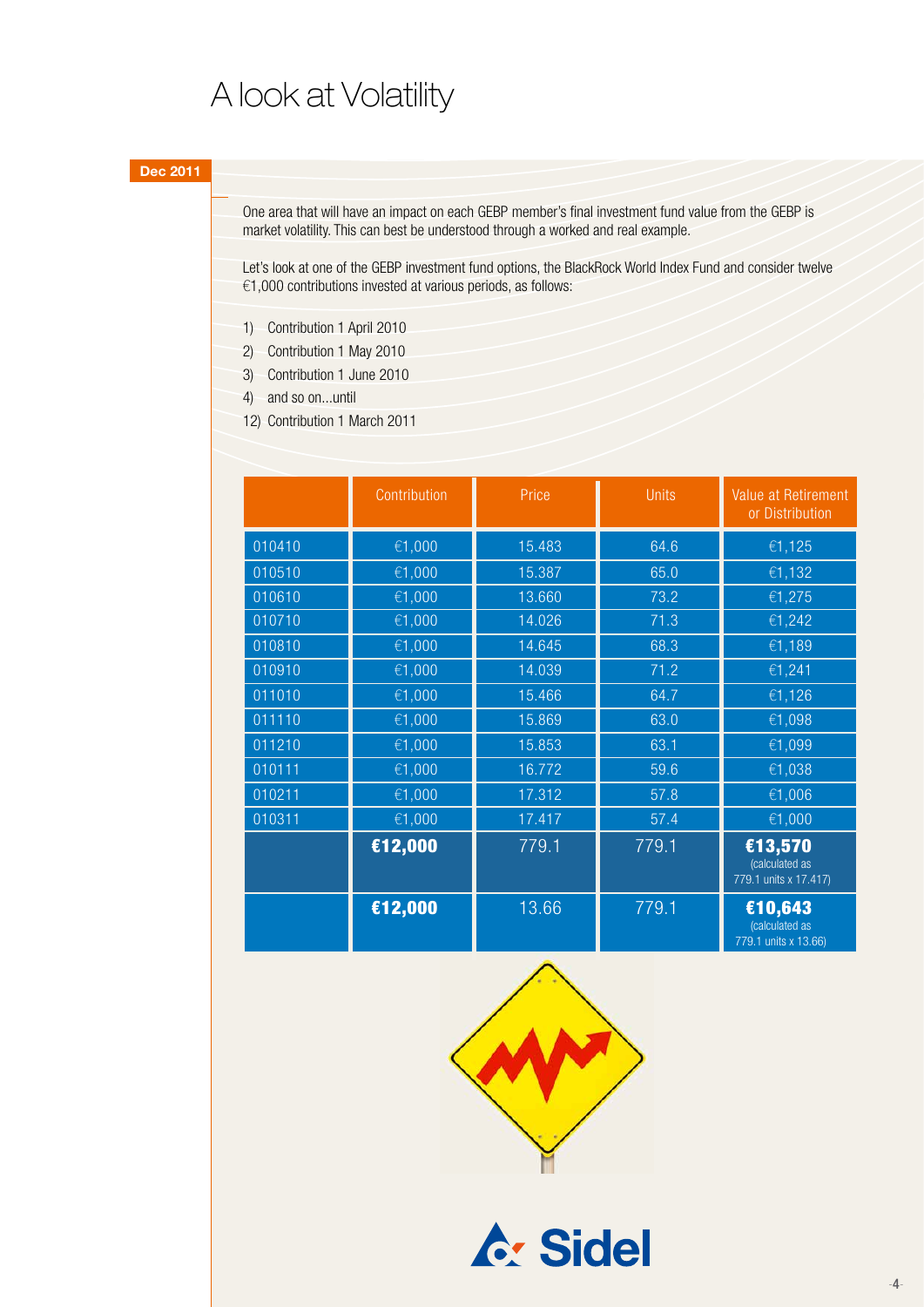### A look at Volatility

One area that will have an impact on each GEBP member's final investment fund value from the GEBP is market volatility. This can best be understood through a worked and real example.

Let's look at one of the GEBP investment fund options, the BlackRock World Index Fund and consider twelve €1,000 contributions invested at various periods, as follows:

- 1) Contribution 1 April 2010
- 2) Contribution 1 May 2010
- 3) Contribution 1 June 2010
- 4) and so on...until
- 12) Contribution 1 March 2011

|        | Contribution | Price  | <b>Units</b> | Value at Retirement<br>or Distribution             |
|--------|--------------|--------|--------------|----------------------------------------------------|
| 010410 | €1,000       | 15.483 | 64.6         | €1,125                                             |
| 010510 | €1,000       | 15.387 | 65.0         | €1,132                                             |
| 010610 | €1,000       | 13.660 | 73.2         | €1,275                                             |
| 010710 | €1,000       | 14.026 | 71.3         | €1,242                                             |
| 010810 | €1,000       | 14.645 | 68.3         | €1,189                                             |
| 010910 | €1,000       | 14.039 | 71.2         | €1,241                                             |
| 011010 | €1,000       | 15.466 | 64.7         | €1,126                                             |
| 011110 | €1,000       | 15.869 | 63.0         | €1,098                                             |
| 011210 | €1,000       | 15.853 | 63.1         | €1,099                                             |
| 010111 | €1,000       | 16.772 | 59.6         | €1,038                                             |
| 010211 | €1,000       | 17.312 | 57.8         | €1,006                                             |
| 010311 | €1,000       | 17.417 | 57.4         | €1,000                                             |
|        | €12,000      | 779.1  | 779.1        | €13,570<br>(calculated as<br>779.1 units x 17.417) |
|        | €12,000      | 13.66  | 779.1        | €10,643<br>(calculated as<br>779.1 units x 13.66)  |

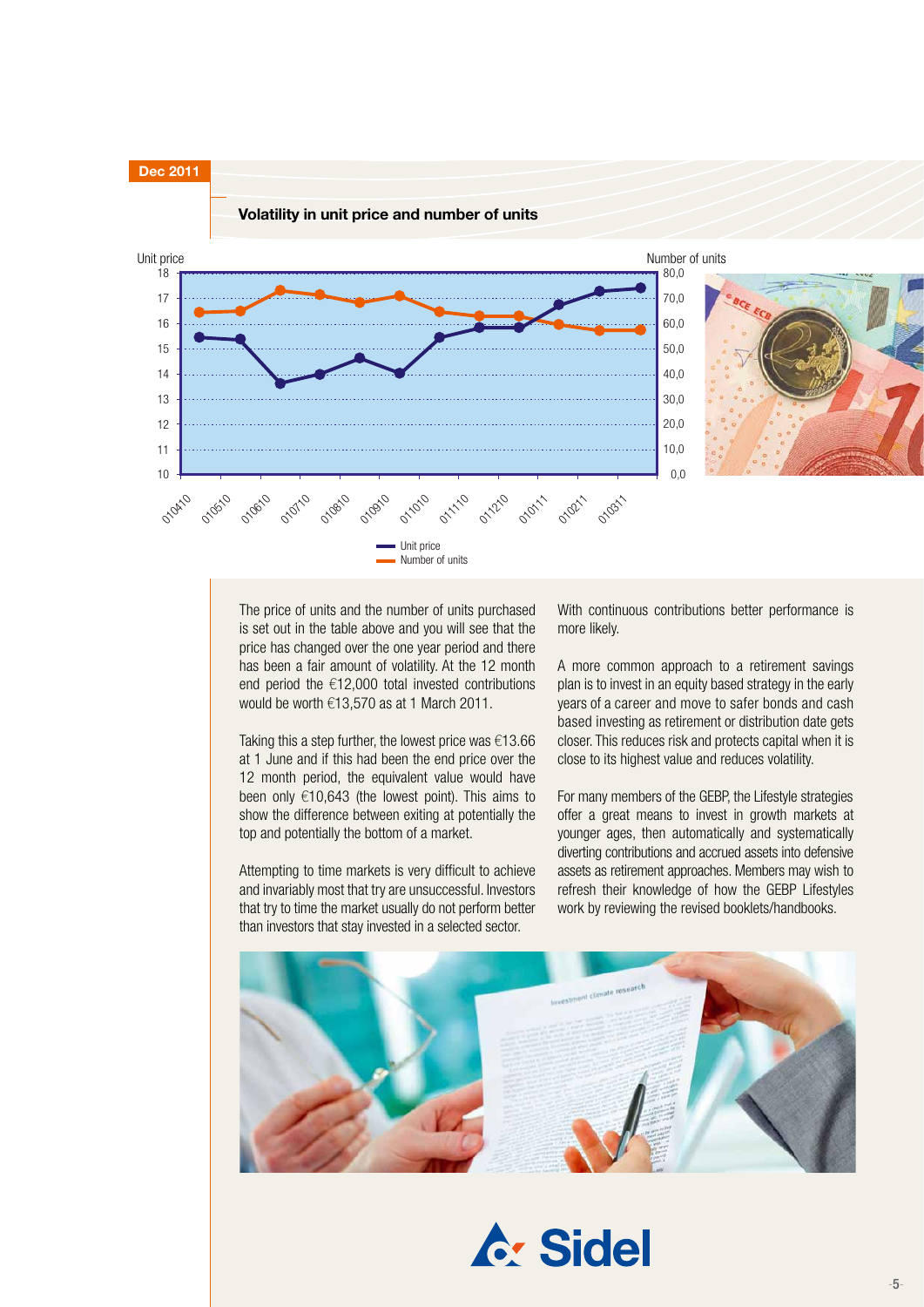

The price of units and the number of units purchased is set out in the table above and you will see that the price has changed over the one year period and there has been a fair amount of volatility. At the 12 month end period the €12,000 total invested contributions would be worth €13,570 as at 1 March 2011.

Taking this a step further, the lowest price was  $€13.66$ at 1 June and if this had been the end price over the 12 month period, the equivalent value would have been only €10,643 (the lowest point). This aims to show the difference between exiting at potentially the top and potentially the bottom of a market.

Attempting to time markets is very difficult to achieve and invariably most that try are unsuccessful. Investors that try to time the market usually do not perform better than investors that stay invested in a selected sector.

With continuous contributions better performance is more likely.

A more common approach to a retirement savings plan is to invest in an equity based strategy in the early years of a career and move to safer bonds and cash based investing as retirement or distribution date gets closer. This reduces risk and protects capital when it is close to its highest value and reduces volatility.

For many members of the GEBP, the Lifestyle strategies offer a great means to invest in growth markets at younger ages, then automatically and systematically diverting contributions and accrued assets into defensive assets as retirement approaches. Members may wish to refresh their knowledge of how the GEBP Lifestyles work by reviewing the revised booklets/handbooks.



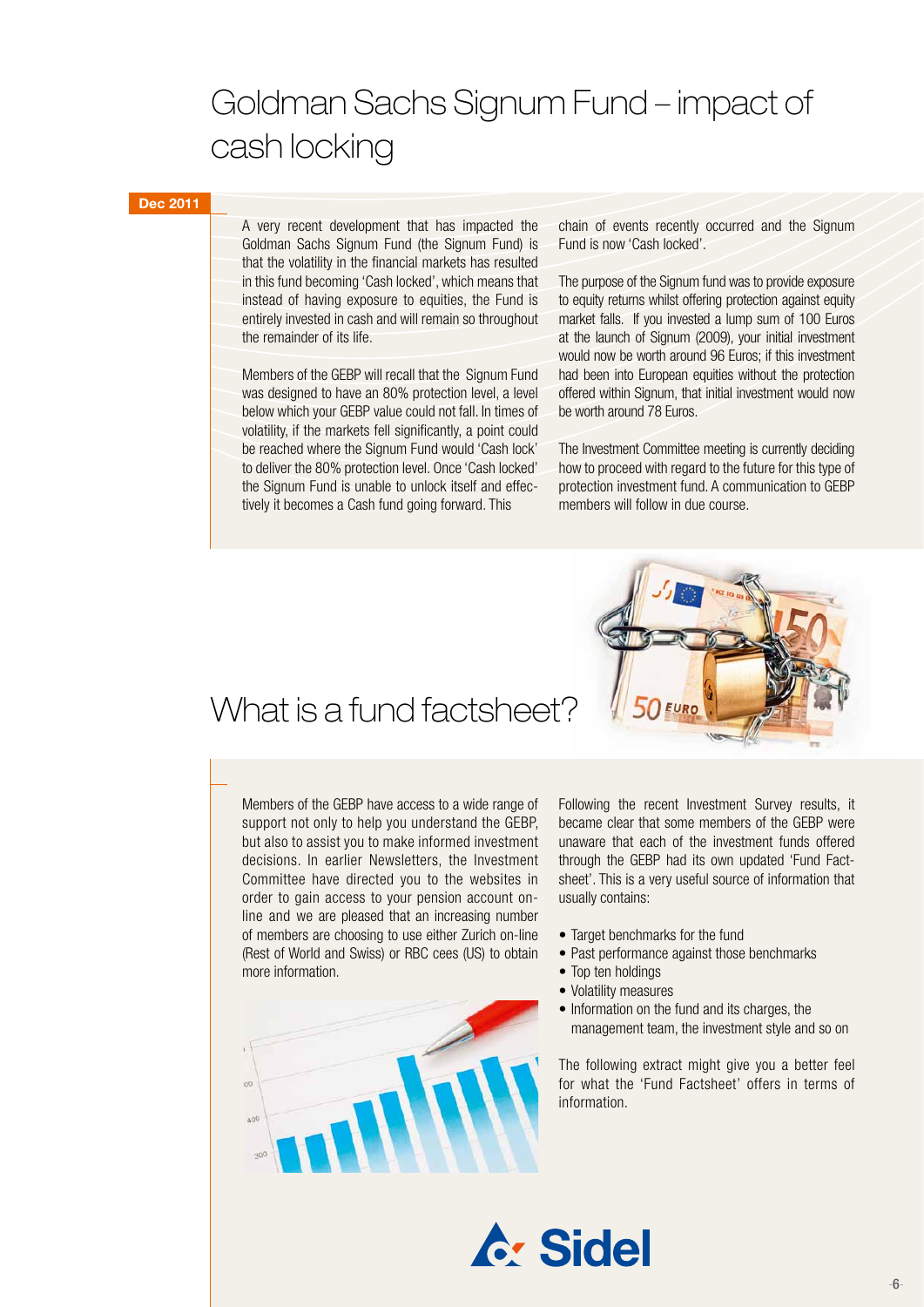# Goldman Sachs Signum Fund – impact of cash locking

### **Dec 2011**

A very recent development that has impacted the Goldman Sachs Signum Fund (the Signum Fund) is that the volatility in the financial markets has resulted in this fund becoming 'Cash locked', which means that instead of having exposure to equities, the Fund is entirely invested in cash and will remain so throughout the remainder of its life.

Members of the GEBP will recall that the Signum Fund was designed to have an 80% protection level, a level below which your GEBP value could not fall. In times of volatility, if the markets fell significantly, a point could be reached where the Signum Fund would 'Cash lock' to deliver the 80% protection level. Once 'Cash locked' the Signum Fund is unable to unlock itself and effectively it becomes a Cash fund going forward. This

chain of events recently occurred and the Signum Fund is now 'Cash locked'.

The purpose of the Signum fund was to provide exposure to equity returns whilst offering protection against equity market falls. If you invested a lump sum of 100 Euros at the launch of Signum (2009), your initial investment would now be worth around 96 Euros; if this investment had been into European equities without the protection offered within Signum, that initial investment would now be worth around 78 Euros.

The Investment Committee meeting is currently deciding how to proceed with regard to the future for this type of protection investment fund. A communication to GEBP members will follow in due course.



### What is a fund factsheet?

Members of the GEBP have access to a wide range of support not only to help you understand the GEBP, but also to assist you to make informed investment decisions. In earlier Newsletters, the Investment Committee have directed you to the websites in order to gain access to your pension account online and we are pleased that an increasing number of members are choosing to use either Zurich on-line (Rest of World and Swiss) or RBC cees (US) to obtain more information.



Following the recent Investment Survey results, it became clear that some members of the GEBP were unaware that each of the investment funds offered through the GEBP had its own updated 'Fund Factsheet'. This is a very useful source of information that usually contains:

- Target benchmarks for the fund
- Past performance against those benchmarks
- Top ten holdings
- • Volatility measures
- Information on the fund and its charges, the management team, the investment style and so on

The following extract might give you a better feel for what the 'Fund Factsheet' offers in terms of information.

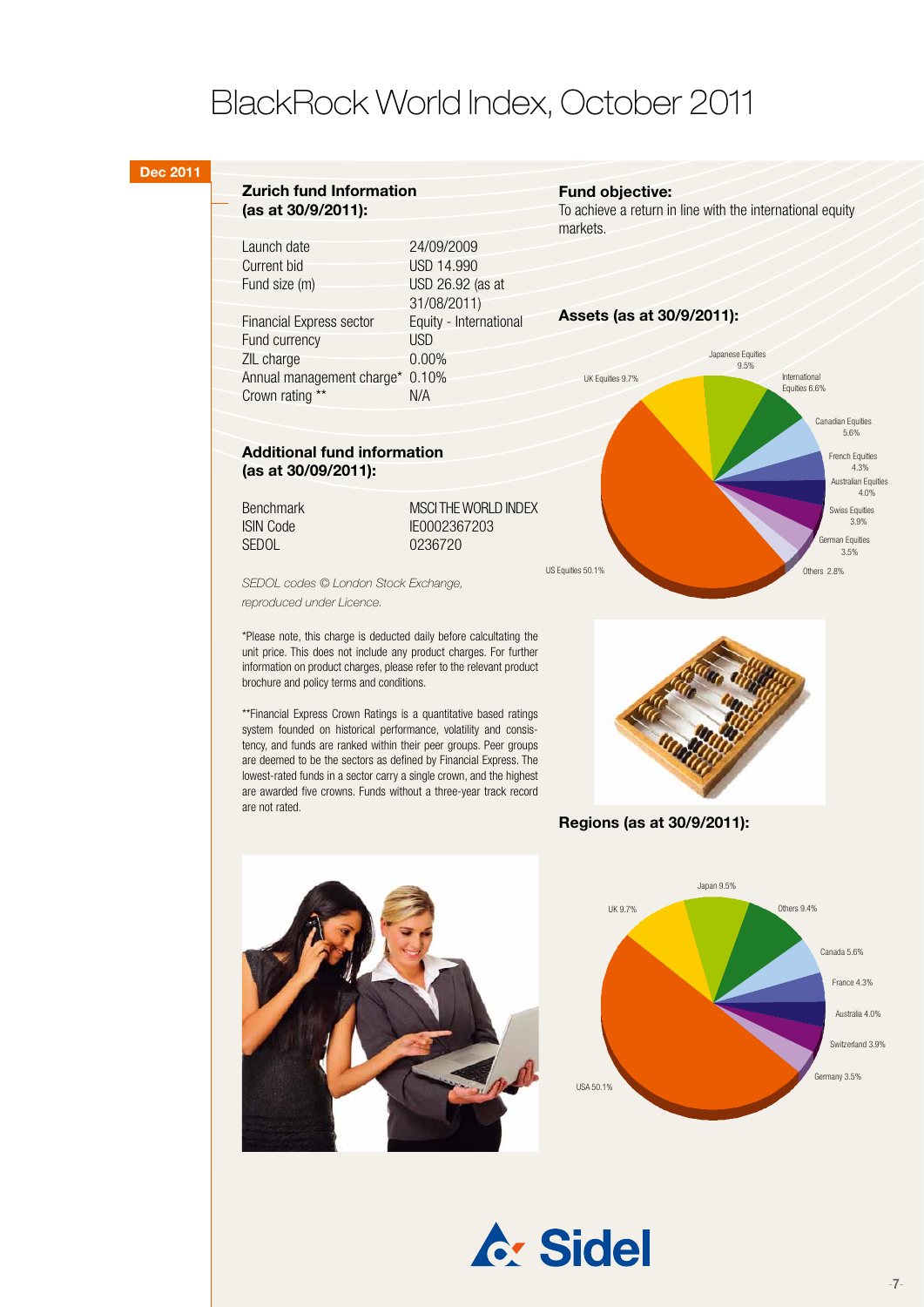## BlackRock World Index, October 2011

#### **Dec 2011**

#### **Zurich fund Information (as at 30/9/2011):**

| Launch date                     | 24/09/2009             |
|---------------------------------|------------------------|
| <b>Current bid</b>              | <b>USD 14.990</b>      |
| Fund size (m)                   | USD 26.92 (as at       |
|                                 | 31/08/2011)            |
| <b>Financial Express sector</b> | Equity - International |
| Fund currency                   | <b>USD</b>             |
| ZIL charge                      | 0.00%                  |
| Annual management charge*       | 0.10%                  |
| Crown rating<br>$***$           | N/A                    |
|                                 |                        |

### **Additional fund information (as at 30/09/2011):**

SEDOL 0236720

Benchmark MSCI THE WORLD INDEX ISIN Code IE0002367203

*SEDOL codes © London Stock Exchange, reproduced under Licence.*

\*Please note, this charge is deducted daily before calcultating the unit price. This does not include any product charges. For further information on product charges, please refer to the relevant product brochure and policy terms and conditions.

\*\*Financial Express Crown Ratings is a quantitative based ratings system founded on historical performance, volatility and consistency, and funds are ranked within their peer groups. Peer groups are deemed to be the sectors as defined by Financial Express. The lowest-rated funds in a sector carry a single crown, and the highest are awarded five crowns. Funds without a three-year track record are not rated.

#### **Fund objective:**

To achieve a return in line with the international equity markets.

#### **Assets (as at 30/9/2011):**





**Regions (as at 30/9/2011):**





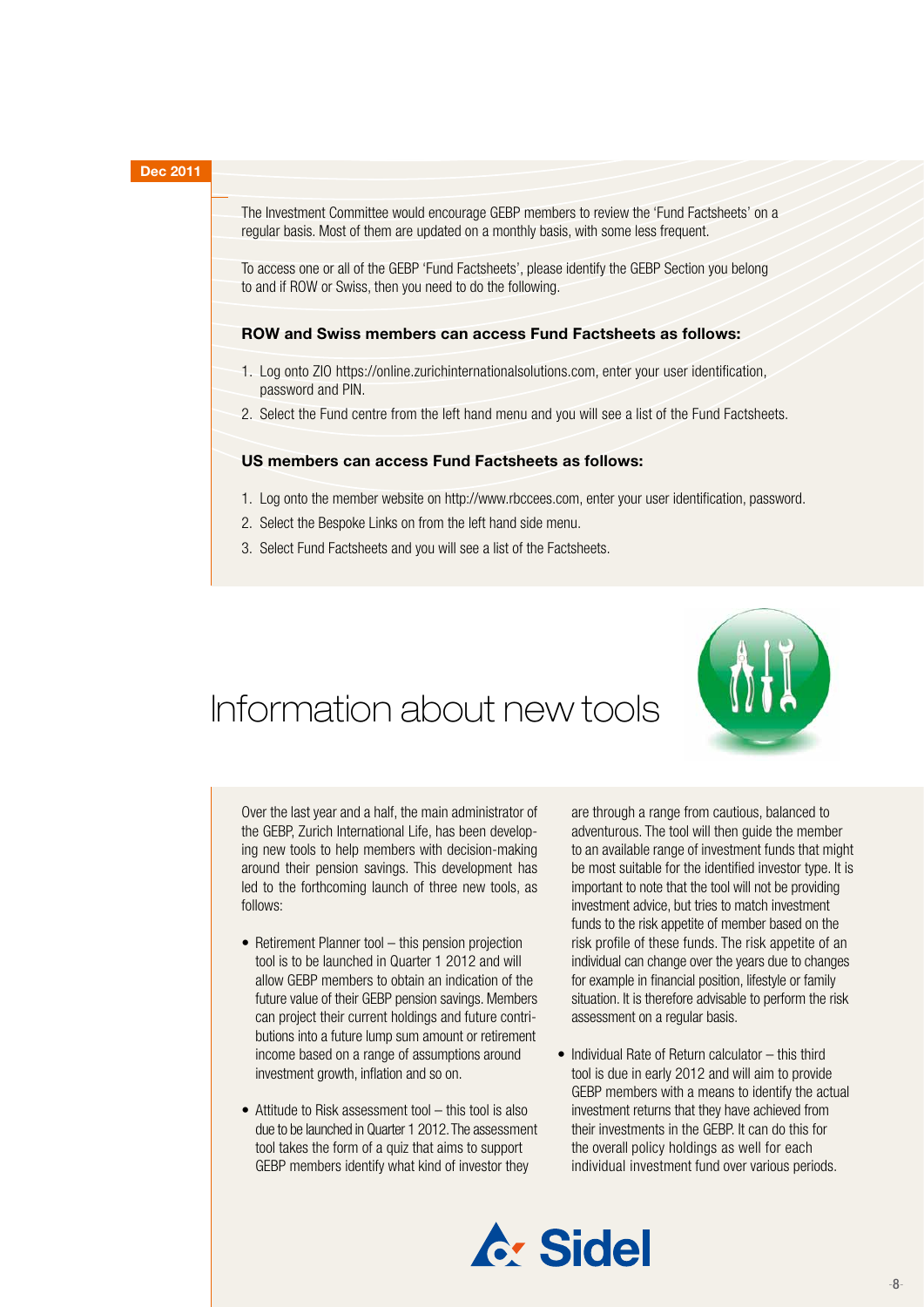#### **Dec 2011**

 $\overline{\phantom{a}}$ 

The Investment Committee would encourage GEBP members to review the 'Fund Factsheets' on a regular basis. Most of them are updated on a monthly basis, with some less frequent.

To access one or all of the GEBP 'Fund Factsheets', please identify the GEBP Section you belong to and if ROW or Swiss, then you need to do the following.

### **ROW and Swiss members can access Fund Factsheets as follows:**

- 1. Log onto ZIO https://online.zurichinternationalsolutions.com, enter your user identification, password and PIN.
- 2. Select the Fund centre from the left hand menu and you will see a list of the Fund Factsheets.

#### **US members can access Fund Factsheets as follows:**

- 1. Log onto the member website on http://www.rbccees.com, enter your user identification, password.
- 2. Select the Bespoke Links on from the left hand side menu.
- 3. Select Fund Factsheets and you will see a list of the Factsheets.

# Information about new tools



Over the last year and a half, the main administrator of the GEBP, Zurich International Life, has been developing new tools to help members with decision-making around their pension savings. This development has led to the forthcoming launch of three new tools, as follows:

- $\bullet$  Retirement Planner tool this pension projection tool is to be launched in Quarter 1 2012 and will allow GEBP members to obtain an indication of the future value of their GEBP pension savings. Members can project their current holdings and future contributions into a future lump sum amount or retirement income based on a range of assumptions around investment growth, inflation and so on.
- Attitude to Risk assessment tool this tool is also due to be launched in Quarter 1 2012. The assessment tool takes the form of a quiz that aims to support GEBP members identify what kind of investor they

are through a range from cautious, balanced to adventurous. The tool will then guide the member to an available range of investment funds that might be most suitable for the identified investor type. It is important to note that the tool will not be providing investment advice, but tries to match investment funds to the risk appetite of member based on the risk profile of these funds. The risk appetite of an individual can change over the years due to changes for example in financial position, lifestyle or family situation. It is therefore advisable to perform the risk assessment on a regular basis.

• Individual Rate of Return calculator – this third tool is due in early 2012 and will aim to provide GEBP members with a means to identify the actual investment returns that they have achieved from their investments in the GEBP. It can do this for the overall policy holdings as well for each individual investment fund over various periods.